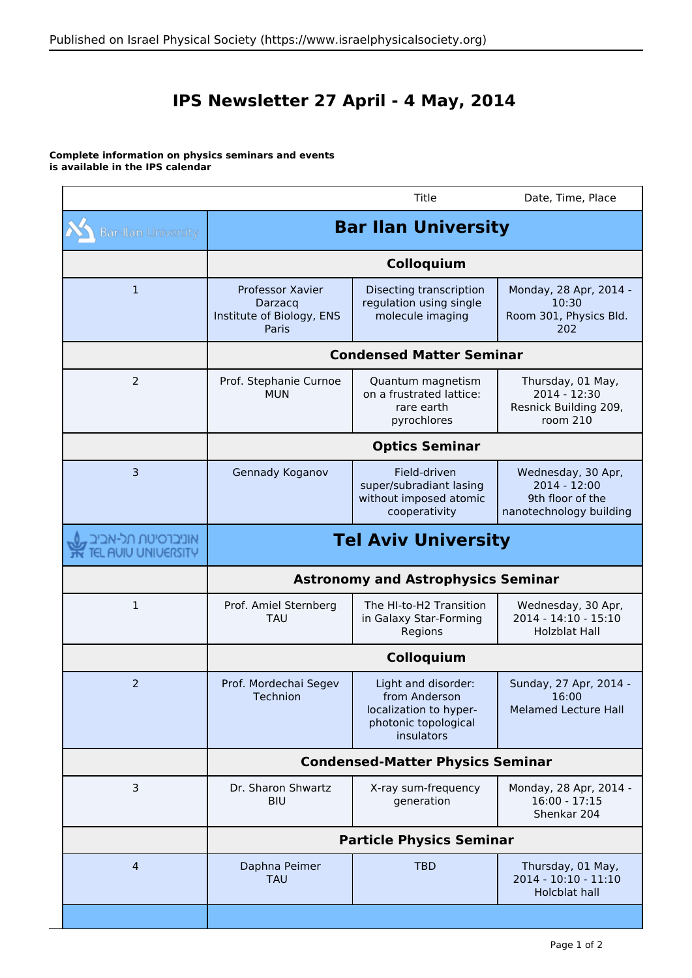## **IPS Newsletter 27 April - 4 May, 2014**

## **Complete information on physics seminars and events is available in the IPS calendar**

|                                         |                                                                   | Title                                                                                                | Date, Time, Place                                                                 |  |
|-----------------------------------------|-------------------------------------------------------------------|------------------------------------------------------------------------------------------------------|-----------------------------------------------------------------------------------|--|
| <b>Bar-Ilan University</b>              | <b>Bar Ilan University</b>                                        |                                                                                                      |                                                                                   |  |
|                                         |                                                                   |                                                                                                      |                                                                                   |  |
| 1                                       | Professor Xavier<br>Darzacq<br>Institute of Biology, ENS<br>Paris | Disecting transcription<br>regulation using single<br>molecule imaging                               | Monday, 28 Apr, 2014 -<br>10:30<br>Room 301, Physics Bld.<br>202                  |  |
|                                         | <b>Condensed Matter Seminar</b>                                   |                                                                                                      |                                                                                   |  |
| $\overline{2}$                          | Prof. Stephanie Curnoe<br><b>MUN</b>                              | Quantum magnetism<br>on a frustrated lattice:<br>rare earth<br>pyrochlores                           | Thursday, 01 May,<br>2014 - 12:30<br>Resnick Building 209,<br>room 210            |  |
|                                         | <b>Optics Seminar</b>                                             |                                                                                                      |                                                                                   |  |
| $\overline{3}$                          | Gennady Koganov                                                   | Field-driven<br>super/subradiant lasing<br>without imposed atomic<br>cooperativity                   | Wednesday, 30 Apr,<br>2014 - 12:00<br>9th floor of the<br>nanotechnology building |  |
| אוניברסיטת תל-אביב<br>L AVIV UNIVERSITY | <b>Tel Aviv University</b>                                        |                                                                                                      |                                                                                   |  |
|                                         | <b>Astronomy and Astrophysics Seminar</b>                         |                                                                                                      |                                                                                   |  |
| $\mathbf 1$                             | Prof. Amiel Sternberg<br>TAU                                      | The HI-to-H2 Transition<br>in Galaxy Star-Forming<br>Regions                                         | Wednesday, 30 Apr,<br>2014 - 14:10 - 15:10<br><b>Holzblat Hall</b>                |  |
|                                         | Colloquium                                                        |                                                                                                      |                                                                                   |  |
| $\overline{2}$                          | Prof. Mordechai Segev<br><b>Technion</b>                          | Light and disorder:<br>from Anderson<br>localization to hyper-<br>photonic topological<br>insulators | Sunday, 27 Apr, 2014 -<br>16:00<br><b>Melamed Lecture Hall</b>                    |  |
|                                         |                                                                   |                                                                                                      |                                                                                   |  |
|                                         |                                                                   | <b>Condensed-Matter Physics Seminar</b>                                                              |                                                                                   |  |
| 3                                       | Dr. Sharon Shwartz<br><b>BIU</b>                                  | X-ray sum-frequency<br>generation                                                                    | Monday, 28 Apr, 2014 -<br>$16:00 - 17:15$<br>Shenkar 204                          |  |
|                                         |                                                                   | <b>Particle Physics Seminar</b>                                                                      |                                                                                   |  |
| $\overline{a}$                          | Daphna Peimer<br><b>TAU</b>                                       | <b>TBD</b>                                                                                           | Thursday, 01 May,<br>2014 - 10:10 - 11:10<br><b>Holcblat hall</b>                 |  |